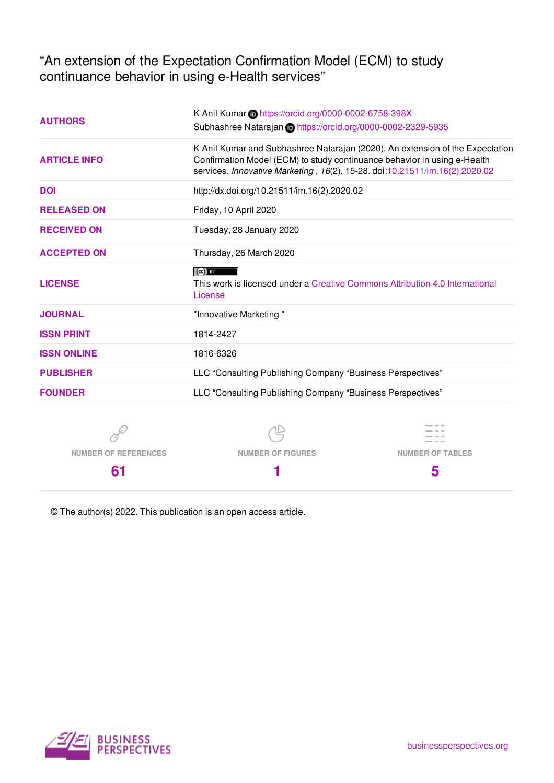"An extension of the Expectation Confirmation Model (ECM) to study continuance behavior in using e-Health services"

| <b>AUTHORS</b>              | K Anil Kumar in https://orcid.org/0000-0002-6758-398X<br>Subhashree Natarajan in https://orcid.org/0000-0002-2329-5935                                                                                                                                                                                                                                                                                                                         |                         |  |  |  |  |
|-----------------------------|------------------------------------------------------------------------------------------------------------------------------------------------------------------------------------------------------------------------------------------------------------------------------------------------------------------------------------------------------------------------------------------------------------------------------------------------|-------------------------|--|--|--|--|
| <b>ARTICLE INFO</b>         | K Anil Kumar and Subhashree Natarajan (2020). An extension of the Expectation<br>Confirmation Model (ECM) to study continuance behavior in using e-Health<br>services. Innovative Marketing, 16(2), 15-28. doi:10.21511/im.16(2).2020.02                                                                                                                                                                                                       |                         |  |  |  |  |
| <b>DOI</b>                  | http://dx.doi.org/10.21511/im.16(2).2020.02                                                                                                                                                                                                                                                                                                                                                                                                    |                         |  |  |  |  |
| <b>RELEASED ON</b>          | Friday, 10 April 2020                                                                                                                                                                                                                                                                                                                                                                                                                          |                         |  |  |  |  |
| <b>RECEIVED ON</b>          | Tuesday, 28 January 2020                                                                                                                                                                                                                                                                                                                                                                                                                       |                         |  |  |  |  |
| <b>ACCEPTED ON</b>          | Thursday, 26 March 2020                                                                                                                                                                                                                                                                                                                                                                                                                        |                         |  |  |  |  |
| <b>LICENSE</b>              | $\left( $ $\right)$ $\left( $ $\right)$ $\left( $ $\right)$ $\left( $ $\right)$ $\left( $ $\right)$ $\left( $ $\right)$ $\left( $ $\right)$ $\left( $ $\right)$ $\left( $ $\right)$ $\left( $ $\right)$ $\left( $ $\right)$ $\left( $ $\right)$ $\left( $ $\right)$ $\left( $ $\right)$ $\left( $ $\right)$ $\left( $ $\right)$ $\left( $ $\right)$<br>This work is licensed under a Creative Commons Attribution 4.0 International<br>License |                         |  |  |  |  |
| <b>JOURNAL</b>              | "Innovative Marketing"                                                                                                                                                                                                                                                                                                                                                                                                                         |                         |  |  |  |  |
| <b>ISSN PRINT</b>           | 1814-2427                                                                                                                                                                                                                                                                                                                                                                                                                                      |                         |  |  |  |  |
| <b>ISSN ONLINE</b>          | 1816-6326                                                                                                                                                                                                                                                                                                                                                                                                                                      |                         |  |  |  |  |
| <b>PUBLISHER</b>            | LLC "Consulting Publishing Company "Business Perspectives"                                                                                                                                                                                                                                                                                                                                                                                     |                         |  |  |  |  |
| <b>FOUNDER</b>              | LLC "Consulting Publishing Company "Business Perspectives"                                                                                                                                                                                                                                                                                                                                                                                     |                         |  |  |  |  |
|                             |                                                                                                                                                                                                                                                                                                                                                                                                                                                |                         |  |  |  |  |
| <b>NUMBER OF REFERENCES</b> | <b>NUMBER OF FIGURES</b>                                                                                                                                                                                                                                                                                                                                                                                                                       | <b>NUMBER OF TABLES</b> |  |  |  |  |

**1**

© The author(s) 2022. This publication is an open access article.



**61**

**5**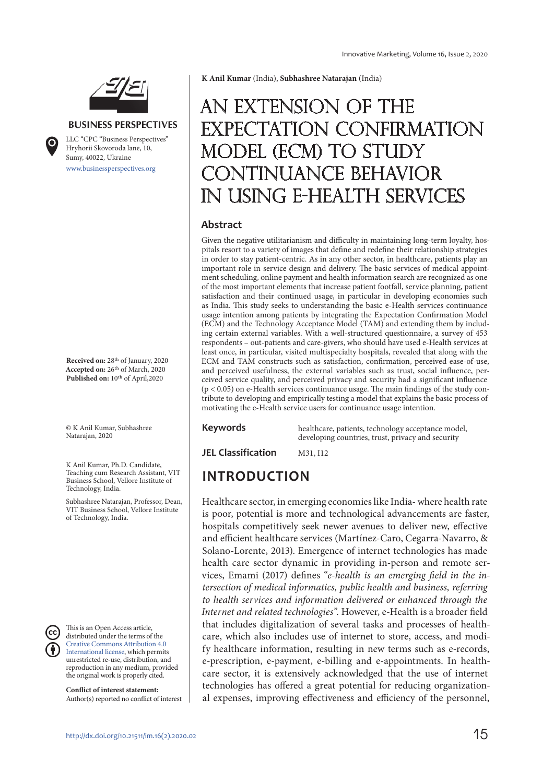

#### **BUSINESS PERSPECTIVES**

www.businessperspectives.org LLC "СPС "Business Perspectives" Hryhorii Skovoroda lane, 10, Sumy, 40022, Ukraine

**Received on:** 28th of January, 2020 **Accepted on:** 26th of March, 2020 Published on: 10<sup>th</sup> of April,2020

© K Anil Kumar, Subhashree Natarajan, 2020

K Anil Kumar, Ph.D. Candidate, Teaching cum Research Assistant, VIT Business School, Vellore Institute of Technology, India.

Subhashree Natarajan, Professor, Dean, VIT Business School, Vellore Institute of Technology, India.

This is an Open Access article, distributed under the terms of the Creative Commons Attribution 4.0 International license, which permits unrestricted re-use, distribution, and reproduction in any medium, provided the original work is properly cited.

**Conflict of interest statement:**  Author(s) reported no conflict of interest **K Anil Kumar** (India), **Subhashree Natarajan** (India)

# An extension of the Expectation Confirmation Model (ECM) to study DNTINUANCE BEHAVIOR in using e-Health services

#### **Abstract**

Given the negative utilitarianism and difficulty in maintaining long-term loyalty, hospitals resort to a variety of images that define and redefine their relationship strategies in order to stay patient-centric. As in any other sector, in healthcare, patients play an important role in service design and delivery. The basic services of medical appointment scheduling, online payment and health information search are recognized as one of the most important elements that increase patient footfall, service planning, patient satisfaction and their continued usage, in particular in developing economies such as India. This study seeks to understanding the basic e-Health services continuance usage intention among patients by integrating the Expectation Confirmation Model (ECM) and the Technology Acceptance Model (TAM) and extending them by including certain external variables. With a well-structured questionnaire, a survey of 453 respondents – out-patients and care-givers, who should have used e-Health services at least once, in particular, visited multispecialty hospitals, revealed that along with the ECM and TAM constructs such as satisfaction, confirmation, perceived ease-of-use, and perceived usefulness, the external variables such as trust, social influence, perceived service quality, and perceived privacy and security had a significant influence  $(p < 0.05)$  on e-Health services continuance usage. The main findings of the study contribute to developing and empirically testing a model that explains the basic process of motivating the e-Health service users for continuance usage intention.

**Keywords** healthcare, patients, technology acceptance model, developing countries, trust, privacy and security

**JEL Classification** M31, I12

### **INTRODUCTION**

Healthcare sector, in emerging economies like India- where health rate is poor, potential is more and technological advancements are faster, hospitals competitively seek newer avenues to deliver new, effective and efficient healthcare services (Martínez-Caro, Cegarra-Navarro, & Solano-Lorente, 2013). Emergence of internet technologies has made health care sector dynamic in providing in-person and remote services, Emami (2017) defines "e-health is an emerging field in the intersection of medical informatics, public health and business, referring to health services and information delivered or enhanced through the Internet and related technologies". However, e-Health is a broader field that includes digitalization of several tasks and processes of healthcare, which also includes use of internet to store, access, and modify healthcare information, resulting in new terms such as e-records, e-prescription, e-payment, e-billing and e-appointments. In healthcare sector, it is extensively acknowledged that the use of internet technologies has offered a great potential for reducing organizational expenses, improving effectiveness and efficiency of the personnel,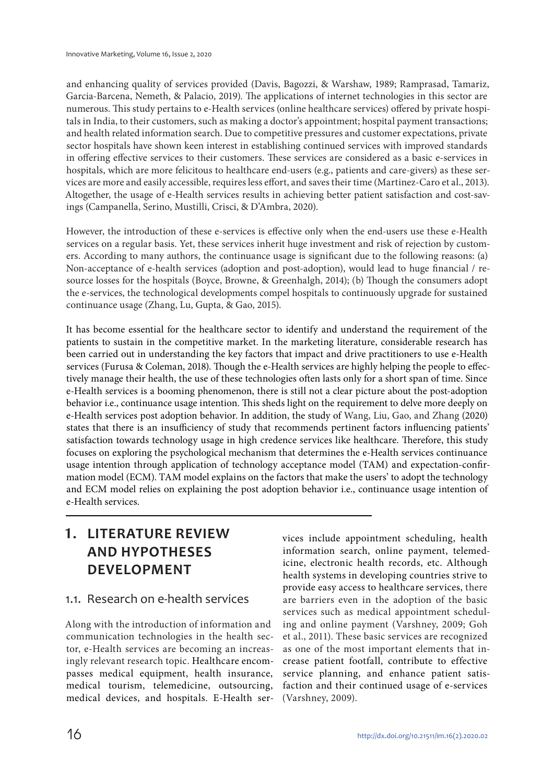and enhancing quality of services provided (Davis, Bagozzi, & Warshaw, 1989; Ramprasad, Tamariz, Garcia-Barcena, Nemeth, & Palacio, 2019). The applications of internet technologies in this sector are numerous. This study pertains to e-Health services (online healthcare services) offered by private hospitals in India, to their customers, such as making a doctor's appointment; hospital payment transactions; and health related information search. Due to competitive pressures and customer expectations, private sector hospitals have shown keen interest in establishing continued services with improved standards in offering effective services to their customers. These services are considered as a basic e-services in hospitals, which are more felicitous to healthcare end-users (e.g., patients and care-givers) as these services are more and easily accessible, requires less effort, and saves their time (Martinez-Caro et al., 2013). Altogether, the usage of e-Health services results in achieving better patient satisfaction and cost-savings (Campanella, Serino, Mustilli, Crisci, & D'Ambra, 2020).

However, the introduction of these e-services is effective only when the end-users use these e-Health services on a regular basis. Yet, these services inherit huge investment and risk of rejection by customers. According to many authors, the continuance usage is significant due to the following reasons: (a) Non-acceptance of e-health services (adoption and post-adoption), would lead to huge financial / resource losses for the hospitals (Boyce, Browne, & Greenhalgh, 2014); (b) Though the consumers adopt the e-services, the technological developments compel hospitals to continuously upgrade for sustained continuance usage (Zhang, Lu, Gupta, & Gao, 2015).

It has become essential for the healthcare sector to identify and understand the requirement of the patients to sustain in the competitive market. In the marketing literature, considerable research has been carried out in understanding the key factors that impact and drive practitioners to use e-Health services (Furusa & Coleman, 2018). Though the e-Health services are highly helping the people to effectively manage their health, the use of these technologies often lasts only for a short span of time. Since e-Health services is a booming phenomenon, there is still not a clear picture about the post-adoption behavior i.e., continuance usage intention. This sheds light on the requirement to delve more deeply on e-Health services post adoption behavior. In addition, the study of Wang, Liu, Gao, and Zhang (2020) states that there is an insufficiency of study that recommends pertinent factors influencing patients' satisfaction towards technology usage in high credence services like healthcare. Therefore, this study focuses on exploring the psychological mechanism that determines the e-Health services continuance usage intention through application of technology acceptance model (TAM) and expectation-confirmation model (ECM). TAM model explains on the factors that make the users' to adopt the technology and ECM model relies on explaining the post adoption behavior i.e., continuance usage intention of e-Health services.

### **1. LITERATURE REVIEW AND HYPOTHESES DEVELOPMENT**

### 1.1. Research on e-health services

Along with the introduction of information and communication technologies in the health sector, e-Health services are becoming an increasingly relevant research topic. Healthcare encompasses medical equipment, health insurance, medical tourism, telemedicine, outsourcing, medical devices, and hospitals. E-Health ser-

vices include appointment scheduling, health information search, online payment, telemedicine, electronic health records, etc. Although health systems in developing countries strive to provide easy access to healthcare services, there are barriers even in the adoption of the basic services such as medical appointment scheduling and online payment (Varshney, 2009; Goh et al., 2011). These basic services are recognized as one of the most important elements that increase patient footfall, contribute to effective service planning, and enhance patient satisfaction and their continued usage of e-services (Varshney, 2009).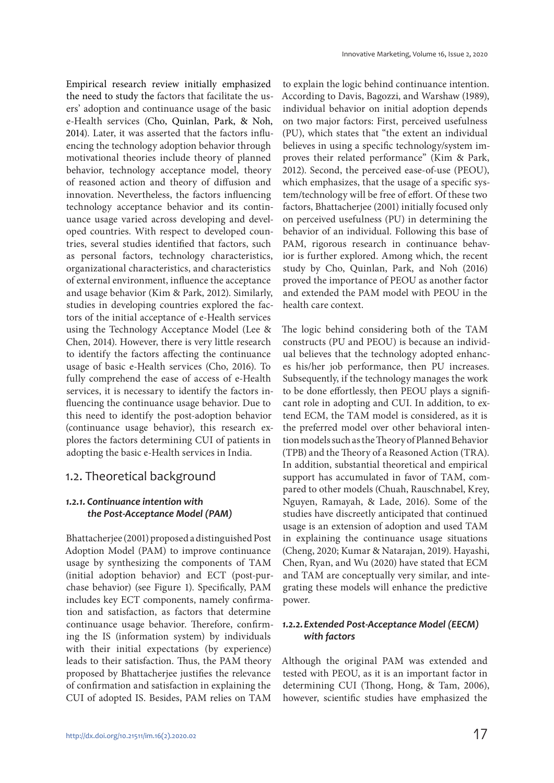Empirical research review initially emphasized the need to study the factors that facilitate the users' adoption and continuance usage of the basic e-Health services (Cho, Quinlan, Park, & Noh, 2014). Later, it was asserted that the factors influencing the technology adoption behavior through motivational theories include theory of planned behavior, technology acceptance model, theory of reasoned action and theory of diffusion and innovation. Nevertheless, the factors influencing technology acceptance behavior and its continuance usage varied across developing and developed countries. With respect to developed countries, several studies identified that factors, such as personal factors, technology characteristics, organizational characteristics, and characteristics of external environment, influence the acceptance and usage behavior (Kim & Park, 2012). Similarly, studies in developing countries explored the factors of the initial acceptance of e-Health services using the Technology Acceptance Model (Lee & Chen, 2014). However, there is very little research to identify the factors affecting the continuance usage of basic e-Health services (Cho, 2016). To fully comprehend the ease of access of e-Health services, it is necessary to identify the factors influencing the continuance usage behavior. Due to this need to identify the post-adoption behavior (continuance usage behavior), this research explores the factors determining CUI of patients in adopting the basic e-Health services in India.

### 1.2. Theoretical background

#### *1.2.1. Continuance intention with the Post-Acceptance Model (PAM)*

Bhattacherjee (2001) proposed a distinguished Post Adoption Model (PAM) to improve continuance usage by synthesizing the components of TAM (initial adoption behavior) and ECT (post-purchase behavior) (see Figure 1). Specifically, PAM includes key ECT components, namely confirmation and satisfaction, as factors that determine continuance usage behavior. Therefore, confirming the IS (information system) by individuals with their initial expectations (by experience) leads to their satisfaction. Thus, the PAM theory proposed by Bhattacherjee justifies the relevance of confirmation and satisfaction in explaining the CUI of adopted IS. Besides, PAM relies on TAM

to explain the logic behind continuance intention. According to Davis, Bagozzi, and Warshaw (1989), individual behavior on initial adoption depends on two major factors: First, perceived usefulness (PU), which states that "the extent an individual believes in using a specific technology/system improves their related performance" (Kim & Park, 2012). Second, the perceived ease-of-use (PEOU), which emphasizes, that the usage of a specific system/technology will be free of effort. Of these two factors, Bhattacherjee (2001) initially focused only on perceived usefulness (PU) in determining the behavior of an individual. Following this base of PAM, rigorous research in continuance behavior is further explored. Among which, the recent study by Cho, Quinlan, Park, and Noh (2016) proved the importance of PEOU as another factor and extended the PAM model with PEOU in the health care context.

The logic behind considering both of the TAM constructs (PU and PEOU) is because an individual believes that the technology adopted enhances his/her job performance, then PU increases. Subsequently, if the technology manages the work to be done effortlessly, then PEOU plays a significant role in adopting and CUI. In addition, to extend ECM, the TAM model is considered, as it is the preferred model over other behavioral intention models such as the Theory of Planned Behavior (TPB) and the Theory of a Reasoned Action (TRA). In addition, substantial theoretical and empirical support has accumulated in favor of TAM, compared to other models (Chuah, Rauschnabel, Krey, Nguyen, Ramayah, & Lade, 2016). Some of the studies have discreetly anticipated that continued usage is an extension of adoption and used TAM in explaining the continuance usage situations (Cheng, 2020; Kumar & Natarajan, 2019). Hayashi, Chen, Ryan, and Wu (2020) have stated that ECM and TAM are conceptually very similar, and integrating these models will enhance the predictive power.

#### *1.2.2. Extended Post-Acceptance Model (EECM) with factors*

Although the original PAM was extended and tested with PEOU, as it is an important factor in determining CUI (Thong, Hong, & Tam, 2006), however, scientific studies have emphasized the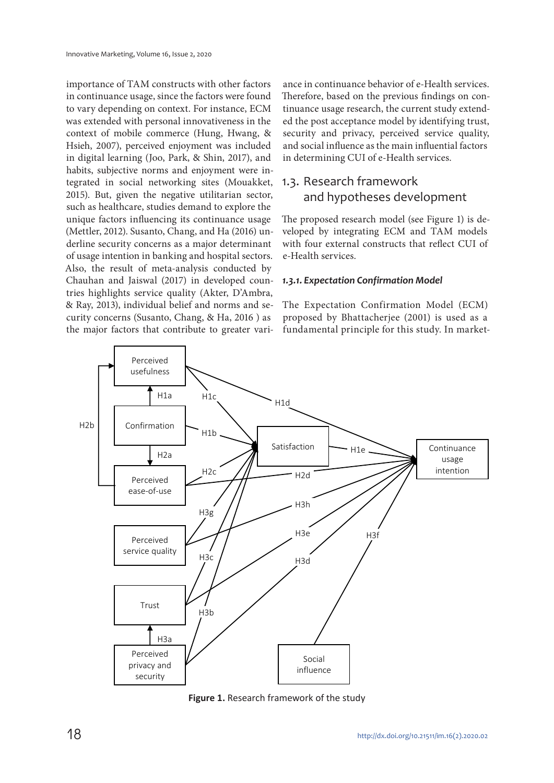importance of TAM constructs with other factors in continuance usage, since the factors were found to vary depending on context. For instance, ECM was extended with personal innovativeness in the context of mobile commerce (Hung, Hwang, & Hsieh, 2007), perceived enjoyment was included in digital learning (Joo, Park, & Shin, 2017), and habits, subjective norms and enjoyment were integrated in social networking sites (Mouakket, 2015). But, given the negative utilitarian sector, such as healthcare, studies demand to explore the unique factors influencing its continuance usage (Mettler, 2012). Susanto, Chang, and Ha (2016) underline security concerns as a major determinant of usage intention in banking and hospital sectors. Also, the result of meta-analysis conducted by Chauhan and Jaiswal (2017) in developed countries highlights service quality (Akter, D'Ambra, & Ray, 2013), individual belief and norms and security concerns (Susanto, Chang, & Ha, 2016 ) as the major factors that contribute to greater vari-

ance in continuance behavior of e-Health services. Therefore, based on the previous findings on continuance usage research, the current study extended the post acceptance model by identifying trust, security and privacy, perceived service quality, and social influence as the main influential factors in determining CUI of e-Health services.

### 1.3. Research framework and hypotheses development

The proposed research model (see Figure 1) is developed by integrating ECM and TAM models with four external constructs that reflect CUI of e-Health services.

#### *1.3.1. Expectation Confirmation Model*

The Expectation Confirmation Model (ECM) proposed by Bhattacherjee (2001) is used as a fundamental principle for this study. In market-



**Figure 1.** Research framework of the study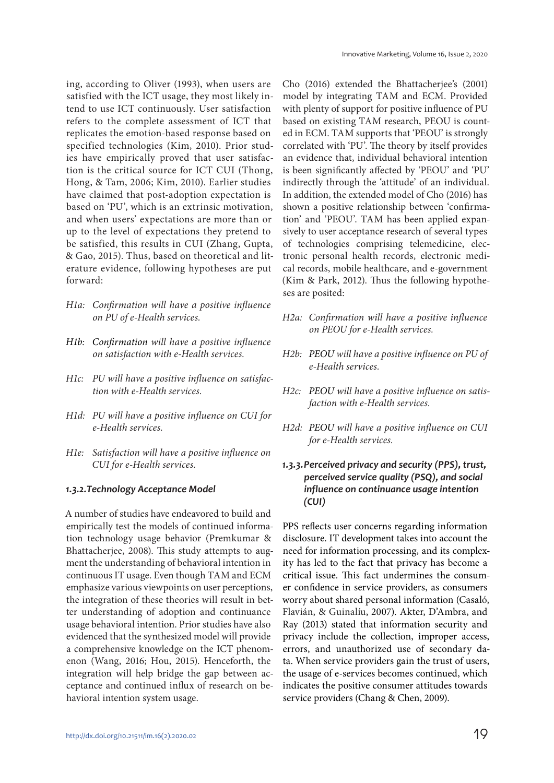ing, according to Oliver (1993), when users are satisfied with the ICT usage, they most likely intend to use ICT continuously. User satisfaction refers to the complete assessment of ICT that replicates the emotion-based response based on specified technologies (Kim, 2010). Prior studies have empirically proved that user satisfaction is the critical source for ICT CUI (Thong, Hong, & Tam, 2006; Kim, 2010). Earlier studies have claimed that post-adoption expectation is based on 'PU', which is an extrinsic motivation, and when users' expectations are more than or up to the level of expectations they pretend to be satisfied, this results in CUI (Zhang, Gupta, & Gao, 2015). Thus, based on theoretical and literature evidence, following hypotheses are put forward:

- H1a: Confirmation will have a positive influence on PU of e-Health services.
- H1b: Confirmation will have a positive influence on satisfaction with e-Health services.
- H1c: PU will have a positive influence on satisfaction with e-Health services.
- H1d: PU will have a positive influence on CUI for e-Health services.
- H1e: Satisfaction will have a positive influence on CUI for e-Health services.

#### *1.3.2. Technology Acceptance Model*

A number of studies have endeavored to build and empirically test the models of continued information technology usage behavior (Premkumar & Bhattacherjee, 2008). This study attempts to augment the understanding of behavioral intention in continuous IT usage. Even though TAM and ECM emphasize various viewpoints on user perceptions, the integration of these theories will result in better understanding of adoption and continuance usage behavioral intention. Prior studies have also evidenced that the synthesized model will provide a comprehensive knowledge on the ICT phenomenon (Wang, 2016; Hou, 2015). Henceforth, the integration will help bridge the gap between acceptance and continued influx of research on behavioral intention system usage.

Cho (2016) extended the Bhattacherjee's (2001) model by integrating TAM and ECM. Provided with plenty of support for positive influence of PU based on existing TAM research, PEOU is counted in ECM. TAM supports that 'PEOU' is strongly correlated with 'PU'. The theory by itself provides an evidence that, individual behavioral intention is been significantly affected by 'PEOU' and 'PU' indirectly through the 'attitude' of an individual. In addition, the extended model of Cho (2016) has shown a positive relationship between 'confirmation' and 'PEOU'. TAM has been applied expansively to user acceptance research of several types of technologies comprising telemedicine, electronic personal health records, electronic medical records, mobile healthcare, and e-government (Kim & Park, 2012). Thus the following hypotheses are posited:

- H2a: Confirmation will have a positive influence on PEOU for e-Health services.
- H2b: PEOU will have a positive influence on PU of e-Health services.
- H2c: PEOU will have a positive influence on satisfaction with e-Health services.
- H2d: PEOU will have a positive influence on CUI for e-Health services.
- *1.3.3. Perceived privacy and security (PPS), trust, perceived service quality (PSQ), and social influence on continuance usage intention (CUI)*

PPS reflects user concerns regarding information disclosure. IT development takes into account the need for information processing, and its complexity has led to the fact that privacy has become a critical issue. This fact undermines the consumer confidence in service providers, as consumers worry about shared personal information (Casaló, Flavián, & Guinalíu, 2007). Akter, D'Ambra, and Ray (2013) stated that information security and privacy include the collection, improper access, errors, and unauthorized use of secondary data. When service providers gain the trust of users, the usage of e-services becomes continued, which indicates the positive consumer attitudes towards service providers (Chang & Chen, 2009).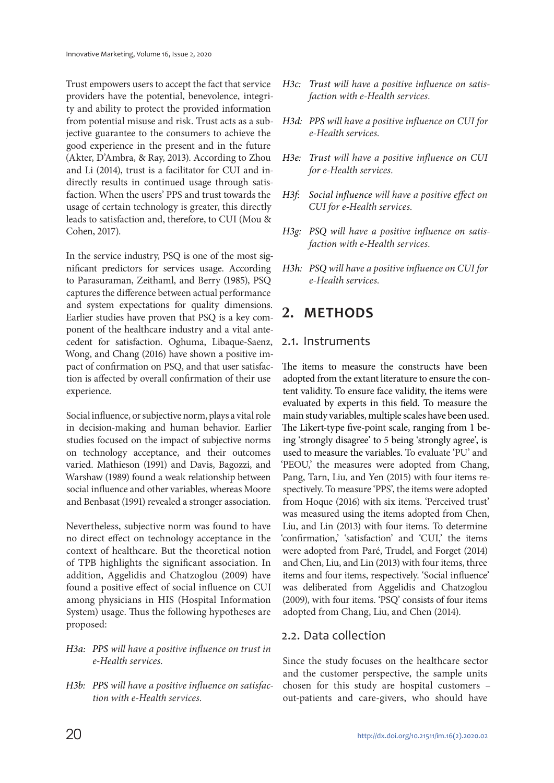Trust empowers users to accept the fact that service providers have the potential, benevolence, integrity and ability to protect the provided information from potential misuse and risk. Trust acts as a subjective guarantee to the consumers to achieve the good experience in the present and in the future (Akter, D'Ambra, & Ray, 2013). According to Zhou and Li (2014), trust is a facilitator for CUI and indirectly results in continued usage through satisfaction. When the users' PPS and trust towards the usage of certain technology is greater, this directly leads to satisfaction and, therefore, to CUI (Mou & Cohen, 2017).

In the service industry, PSQ is one of the most significant predictors for services usage. According to Parasuraman, Zeithaml, and Berry (1985), PSQ captures the difference between actual performance and system expectations for quality dimensions. Earlier studies have proven that PSQ is a key component of the healthcare industry and a vital antecedent for satisfaction. Oghuma, Libaque-Saenz, Wong, and Chang (2016) have shown a positive impact of confirmation on PSQ, and that user satisfaction is affected by overall confirmation of their use experience.

Social influence, or subjective norm, plays a vital role in decision-making and human behavior. Earlier studies focused on the impact of subjective norms on technology acceptance, and their outcomes varied. Mathieson (1991) and Davis, Bagozzi, and Warshaw (1989) found a weak relationship between social influence and other variables, whereas Moore and Benbasat (1991) revealed a stronger association.

Nevertheless, subjective norm was found to have no direct effect on technology acceptance in the context of healthcare. But the theoretical notion of TPB highlights the significant association. In addition, Aggelidis and Chatzoglou (2009) have found a positive effect of social influence on CUI among physicians in HIS (Hospital Information System) usage. Thus the following hypotheses are proposed:

- H3a: PPS will have a positive influence on trust in e-Health services.
- H3b: PPS will have a positive influence on satisfaction with e-Health services.
- H3c: Trust will have a positive influence on satisfaction with e-Health services.
- H3d: PPS will have a positive influence on CUI for e-Health services.
- H3e: Trust will have a positive influence on CUI for e-Health services.
- H3f: Social influence will have a positive effect on CUI for e-Health services.
- H3g: PSQ will have a positive influence on satisfaction with e-Health services.
- H3h: PSQ will have a positive influence on CUI for e-Health services.

### **2. METHODS**

#### 2.1. Instruments

The items to measure the constructs have been adopted from the extant literature to ensure the content validity. To ensure face validity, the items were evaluated by experts in this field. To measure the main study variables, multiple scales have been used. The Likert-type five-point scale, ranging from 1 being 'strongly disagree' to 5 being 'strongly agree', is used to measure the variables. To evaluate 'PU' and 'PEOU,' the measures were adopted from Chang, Pang, Tarn, Liu, and Yen (2015) with four items respectively. To measure 'PPS', the items were adopted from Hoque (2016) with six items. 'Perceived trust' was measured using the items adopted from Chen, Liu, and Lin (2013) with four items. To determine 'confirmation,' 'satisfaction' and 'CUI,' the items were adopted from Paré, Trudel, and Forget (2014) and Chen, Liu, and Lin (2013) with four items, three items and four items, respectively. 'Social influence' was deliberated from Aggelidis and Chatzoglou (2009), with four items. 'PSQ' consists of four items adopted from Chang, Liu, and Chen (2014).

### 2.2. Data collection

Since the study focuses on the healthcare sector and the customer perspective, the sample units chosen for this study are hospital customers – out-patients and care-givers, who should have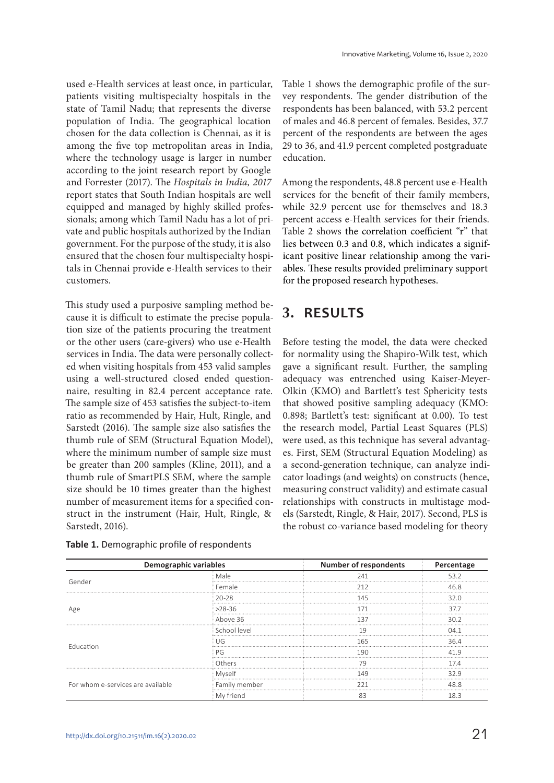used e-Health services at least once, in particular, patients visiting multispecialty hospitals in the state of Tamil Nadu; that represents the diverse population of India. The geographical location chosen for the data collection is Chennai, as it is among the five top metropolitan areas in India, where the technology usage is larger in number according to the joint research report by Google and Forrester (2017). The Hospitals in India, 2017 report states that South Indian hospitals are well equipped and managed by highly skilled professionals; among which Tamil Nadu has a lot of private and public hospitals authorized by the Indian government. For the purpose of the study, it is also ensured that the chosen four multispecialty hospitals in Chennai provide e-Health services to their customers.

This study used a purposive sampling method because it is difficult to estimate the precise population size of the patients procuring the treatment or the other users (care-givers) who use e-Health services in India. The data were personally collected when visiting hospitals from 453 valid samples using a well-structured closed ended questionnaire, resulting in 82.4 percent acceptance rate. The sample size of 453 satisfies the subject-to-item ratio as recommended by Hair, Hult, Ringle, and Sarstedt (2016). The sample size also satisfies the thumb rule of SEM (Structural Equation Model), where the minimum number of sample size must be greater than 200 samples (Kline, 2011), and a thumb rule of SmartPLS SEM, where the sample size should be 10 times greater than the highest number of measurement items for a specified construct in the instrument (Hair, Hult, Ringle, & Sarstedt, 2016).

|  | Table 1. Demographic profile of respondents |
|--|---------------------------------------------|
|--|---------------------------------------------|

Table 1 shows the demographic profile of the survey respondents. The gender distribution of the respondents has been balanced, with 53.2 percent of males and 46.8 percent of females. Besides, 37.7 percent of the respondents are between the ages 29 to 36, and 41.9 percent completed postgraduate education.

Among the respondents, 48.8 percent use e-Health services for the benefit of their family members, while 32.9 percent use for themselves and 18.3 percent access e-Health services for their friends. Table 2 shows the correlation coefficient "r" that lies between 0.3 and 0.8, which indicates a significant positive linear relationship among the variables. These results provided preliminary support for the proposed research hypotheses.

## **3. RESULTS**

Before testing the model, the data were checked for normality using the Shapiro-Wilk test, which gave a significant result. Further, the sampling adequacy was entrenched using Kaiser-Meyer-Olkin (KMO) and Bartlett's test Sphericity tests that showed positive sampling adequacy (KMO: 0.898; Bartlett's test: significant at 0.00). To test the research model, Partial Least Squares (PLS) were used, as this technique has several advantages. First, SEM (Structural Equation Modeling) as a second-generation technique, can analyze indicator loadings (and weights) on constructs (hence, measuring construct validity) and estimate casual relationships with constructs in multistage models (Sarstedt, Ringle, & Hair, 2017). Second, PLS is the robust co-variance based modeling for theory

| <b>Demographic variables</b>                             |               | <b>Number of respondents</b> | Percentage |
|----------------------------------------------------------|---------------|------------------------------|------------|
|                                                          | Male          | 241                          | 532        |
|                                                          | Female        | 212                          | 46 R       |
|                                                          | 20-28         | 145<br>.                     | 32 U       |
|                                                          | $28-36$       | 171                          | 377        |
|                                                          | Above 36      | 137                          | 30.2       |
|                                                          | School level  | .<br>19                      | በ4 1       |
|                                                          | UG            | 165                          | 36 4       |
|                                                          | PG            | 1 Q C                        |            |
|                                                          | Others        | 70                           | 17 4       |
| Gender<br>Fducation<br>For whom e-services are available | Myself        | ۱4۹                          |            |
|                                                          | Family member |                              |            |
|                                                          | My friend     |                              | 18.3       |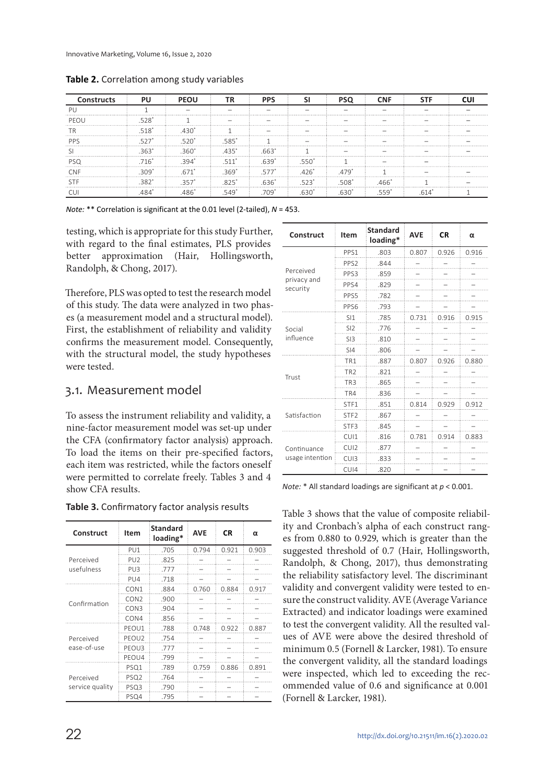| <b>Constructs</b> | PU    | <b>PEOU</b>       | ГR         | <b>PPS</b> |             |       | <b>CNF</b> |  |
|-------------------|-------|-------------------|------------|------------|-------------|-------|------------|--|
|                   |       |                   |            |            |             |       |            |  |
| PFOL              |       | .                 |            |            |             |       |            |  |
|                   | 518*  | 43∩               |            |            |             |       |            |  |
| <b>PPS</b>        |       | 520<br>.          | .585       | .          |             |       |            |  |
|                   | .363' | .360 <sup>°</sup> | $.435*$    | .663       |             |       |            |  |
|                   | 716*  |                   | . <b>.</b> |            | 550         |       |            |  |
| ≘NF               | 309   |                   | .369<br>.  | 577        | $.426*$<br> | .479' |            |  |
| .                 | .382  | .35               | 1.1.1.1    | .636"      | .523'       | .508* | $.466*$    |  |
|                   |       |                   |            | .709       |             |       |            |  |

**Table 2.** Correlation among study variables

*Note:* \*\* Correlation is significant at the 0.01 level (2-tailed), *N* = 453.

testing, which is appropriate for this study Further, with regard to the final estimates, PLS provides better approximation (Hair, Hollingsworth, Randolph, & Chong, 2017).

Therefore, PLS was opted to test the research model of this study. The data were analyzed in two phases (a measurement model and a structural model). First, the establishment of reliability and validity confirms the measurement model. Consequently, with the structural model, the study hypotheses were tested.

### 3.1. Measurement model

To assess the instrument reliability and validity, a nine-factor measurement model was set-up under the CFA (confirmatory factor analysis) approach. To load the items on their pre-specified factors, each item was restricted, while the factors oneself were permitted to correlate freely. Tables 3 and 4 show CFA results.

| Table 3. Confirmatory factor analysis results |  |  |
|-----------------------------------------------|--|--|
|-----------------------------------------------|--|--|

| Construct       | Item             | <b>Standard</b><br>loading* | <b>AVE</b> | <b>CR</b> | α     |
|-----------------|------------------|-----------------------------|------------|-----------|-------|
|                 | PU1              | .705                        | 0.794      | 0.921     | 0.903 |
| Perceived       | PU <sub>2</sub>  | .825                        |            |           |       |
| usefulness      | PU <sub>3</sub>  | .777                        |            |           |       |
|                 | PU <sub>4</sub>  | .718                        |            |           |       |
| Confirmation    | CON <sub>1</sub> | .884                        | 0.760      | 0.884     | 0.917 |
|                 | CON <sub>2</sub> | .900                        |            |           |       |
|                 | CON3             | .904                        |            |           |       |
|                 | CON4             | .856                        |            |           |       |
|                 | PEOU1            | .788                        | 0.748      | 0.922     | 0.887 |
| Perceived       | PEOU2            | .754                        |            |           |       |
| ease-of-use     | PEOU3            | .777                        |            |           |       |
|                 | PEOU4            | .799                        |            |           |       |
|                 | PSQ1             | .789                        | 0.759      | 0.886     | 0.891 |
| Perceived       | PSQ <sub>2</sub> | .764                        |            |           |       |
| service quality | PSQ3             | .790                        |            |           |       |
|                 | PSQ4             | .795                        |            |           |       |

| Construct               | <b>Item</b>      | <b>Standard</b><br>loading* | <b>AVE</b> | CR    | α     |
|-------------------------|------------------|-----------------------------|------------|-------|-------|
|                         | PPS1             | .803                        | 0.807      | 0.926 | 0.916 |
|                         | PPS <sub>2</sub> | .844                        |            |       |       |
| Perceived               | PPS3             | .859                        |            |       |       |
| privacy and<br>security | PPS4             | .829                        |            |       |       |
|                         | PPS5             | .782                        |            |       |       |
|                         | PPS6             | .793                        |            |       |       |
|                         | S11              | .785                        | 0.731      | 0.916 | 0.915 |
| Social<br>influence     | SI2              | .776                        |            |       |       |
|                         | SI3              | .810                        |            |       |       |
|                         | SI4              | .806                        |            |       |       |
|                         | TR1              | .887                        | 0.807      | 0.926 | 0.880 |
| Trust                   | TR <sub>2</sub>  | .821                        |            |       |       |
|                         | TR <sub>3</sub>  | .865                        |            |       |       |
|                         | TR4              | .836                        |            |       |       |
|                         | STF1             | .851                        | 0.814      | 0.929 | 0.912 |
| Satisfaction            | STF <sub>2</sub> | .867                        |            |       |       |
|                         | STF3             | .845                        |            |       |       |
|                         | CUI1             | .816                        | 0.781      | 0.914 | 0.883 |
| Continuance             | CU <sub>12</sub> | .877                        |            |       |       |
| usage intention         | CU <sub>13</sub> | .833                        |            |       |       |
|                         | CU <sub>14</sub> | .820                        |            |       |       |

*Note:* \* All standard loadings are significant at *p* < 0.001.

Table 3 shows that the value of composite reliability and Cronbach's alpha of each construct ranges from 0.880 to 0.929, which is greater than the suggested threshold of 0.7 (Hair, Hollingsworth, Randolph, & Chong, 2017), thus demonstrating the reliability satisfactory level. The discriminant validity and convergent validity were tested to ensure the construct validity. AVE (Average Variance Extracted) and indicator loadings were examined to test the convergent validity. All the resulted values of AVE were above the desired threshold of minimum 0.5 (Fornell & Larcker, 1981). To ensure the convergent validity, all the standard loadings were inspected, which led to exceeding the recommended value of 0.6 and significance at 0.001 (Fornell & Larcker, 1981).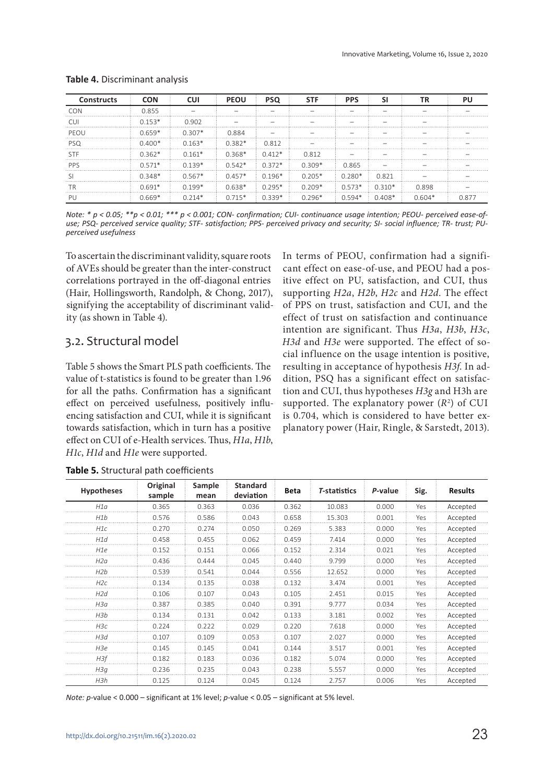| <b>Constructs</b> | <b>CON</b> | CUI      | <b>PEOU</b> | <b>PSQ</b> | <b>STF</b> | <b>PPS</b>      |          | ΤR       |       |
|-------------------|------------|----------|-------------|------------|------------|-----------------|----------|----------|-------|
| CON               | 0.855      |          |             |            |            |                 |          |          |       |
| CΠ                | $0.153*$   | 0.902    |             |            |            |                 |          |          |       |
| PFOU              | $0.659*$   | $0.307*$ | 0.884       |            |            |                 |          |          |       |
| <b>PSQ</b>        | $0.400*$   | $0.163*$ | $0.382*$    | 0.812      |            |                 |          |          |       |
| <b>STF</b>        | $0.362*$   | $0.161*$ | $0.368*$    | $0.412*$   | 0.812      |                 |          |          |       |
| <b>PPS</b>        | $0.571*$   | $0.139*$ | $0.542*$    | $0.372*$   | $0.309*$   | 0.865           |          |          |       |
|                   | $0.348*$   | $0.567*$ | $0.457*$    | $0.196*$   | $0.205*$   | 0.280*          | 0.821    |          |       |
| ГR<br>            | $0.691*$   | $0.199*$ | $0.638*$    | $0.295*$   | $0.209*$   | $0.573*$ 0.310* |          | 0.898    |       |
|                   | $0.669*$   | $0.214*$ | $0.715*$    | $0.339*$   | በ 296*     | $0.594*$        | $0.408*$ | $0.604*$ | 0.877 |

#### **Table 4.** Discriminant analysis

*Note: \* p < 0.05; \*\*p < 0.01; \*\*\* p < 0.001; CON- confirmation; CUI- continuance usage intention; PEOU- perceived ease-ofuse; PSQ- perceived service quality; STF- satisfaction; PPS- perceived privacy and security; SI- social influence; TR- trust; PUperceived usefulness*

To ascertain the discriminant validity, square roots of AVEs should be greater than the inter-construct correlations portrayed in the off-diagonal entries (Hair, Hollingsworth, Randolph, & Chong, 2017), signifying the acceptability of discriminant validity (as shown in Table 4).

#### 3.2. Structural model

Table 5 shows the Smart PLS path coefficients. The value of t-statistics is found to be greater than 1.96 for all the paths. Confirmation has a significant effect on perceived usefulness, positively influencing satisfaction and CUI, while it is significant towards satisfaction, which in turn has a positive effect on CUI of e-Health services. Thus, H1a, H1b, H1c, H1d and H1e were supported.

In terms of PEOU, confirmation had a significant effect on ease-of-use, and PEOU had a positive effect on PU, satisfaction, and CUI, thus supporting H2a, H2b, H2c and H2d. The effect of PPS on trust, satisfaction and CUI, and the effect of trust on satisfaction and continuance intention are significant. Thus H3a, H3b, H3c, H3d and H3e were supported. The effect of social influence on the usage intention is positive, resulting in acceptance of hypothesis H3f. In addition, PSQ has a significant effect on satisfaction and CUI, thus hypotheses H3g and H3h are supported. The explanatory power  $(R^2)$  of CUI is 0.704, which is considered to have better explanatory power (Hair, Ringle, & Sarstedt, 2013).

| <b>Hypotheses</b> | Original<br>sample | Sample<br>mean | <b>Standard</b><br>deviation | <b>Beta</b> | <b>T-statistics</b> | P-value | Sig. | <b>Results</b> |
|-------------------|--------------------|----------------|------------------------------|-------------|---------------------|---------|------|----------------|
| H1a               | 0.365              | 0.363          | 0.036                        | 0.362       | 10.083              | 0.000   | Yes  | Accepted       |
| H1b               | 0.576              | 0.586          | 0.043                        | 0.658       | 15.303              | 0.001   | Yes  | Accepted       |
| H1c               | 0.270              | 0.274          | 0.050                        | 0.269       | 5.383               | 0.000   | Yes  | Accepted       |
| H1d               | 0.458              | 0.455          | 0.062                        | 0.459       | 7.414               | 0.000   | Yes  | Accepted       |
| H <sub>1e</sub>   | 0.152              | 0.151          | 0.066                        | 0.152       | 2.314               | 0.021   | Yes  | Accepted       |
| H2a               | 0.436              | 0.444          | 0.045                        | 0.440       | 9.799               | 0.000   | Yes  | Accepted       |
| H2b               | 0.539              | 0.541          | 0.044                        | 0.556       | 12.652              | 0.000   | Yes  | Accepted       |
| H2c               | 0.134              | 0.135          | 0.038                        | 0.132       | 3.474               | 0.001   | Yes  | Accepted       |
| H2d               | 0.106              | 0.107          | 0.043                        | 0.105       | 2.451               | 0.015   | Yes  | Accepted       |
| H3a               | 0.387              | 0.385          | 0.040                        | 0.391       | 9.777               | 0.034   | Yes  | Accepted       |
| H3b               | 0.134              | 0.131          | 0.042                        | 0.133       | 3.181               | 0.002   | Yes  | Accepted       |
| H3c               | 0.224              | 0.222          | 0.029                        | 0.220       | 7.618               | 0.000   | Yes  | Accepted       |
| H3d               | 0.107              | 0.109          | 0.053                        | 0.107       | 2.027               | 0.000   | Yes  | Accepted       |
| H3e               | 0.145              | 0.145          | 0.041                        | 0.144       | 3.517               | 0.001   | Yes  | Accepted       |
| H3f               | 0.182              | 0.183          | 0.036                        | 0.182       | 5.074               | 0.000   | Yes  | Accepted       |
| H3q               | 0.236              | 0.235          | 0.043                        | 0.238       | 5.557               | 0.000   | Yes  | Accepted       |
| H3h               | 0.125              | 0.124          | 0.045                        | 0.124       | 2.757               | 0.006   | Yes  | Accepted       |

**Table 5.** Structural path coefficients

*Note: p*-value < 0.000 – significant at 1% level; *p*-value < 0.05 – significant at 5% level.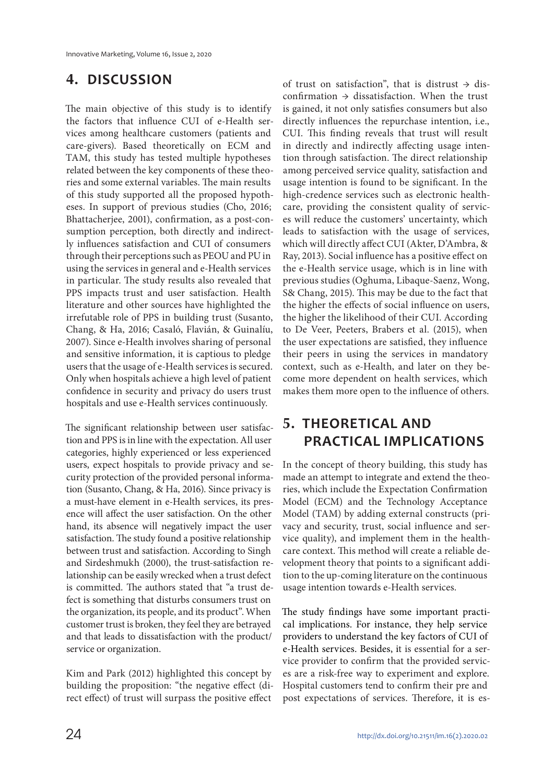### **4. DISCUSSION**

The main objective of this study is to identify the factors that influence CUI of e-Health services among healthcare customers (patients and care-givers). Based theoretically on ECM and TAM, this study has tested multiple hypotheses related between the key components of these theories and some external variables. The main results of this study supported all the proposed hypotheses. In support of previous studies (Cho, 2016; Bhattacherjee, 2001), confirmation, as a post-consumption perception, both directly and indirectly influences satisfaction and CUI of consumers through their perceptions such as PEOU and PU in using the services in general and e-Health services in particular. The study results also revealed that PPS impacts trust and user satisfaction. Health literature and other sources have highlighted the irrefutable role of PPS in building trust (Susanto, Chang, & Ha, 2016; Casaló, Flavián, & Guinalíu, 2007). Since e-Health involves sharing of personal and sensitive information, it is captious to pledge users that the usage of e-Health services is secured. Only when hospitals achieve a high level of patient confidence in security and privacy do users trust hospitals and use e-Health services continuously.

The significant relationship between user satisfaction and PPS is in line with the expectation. All user categories, highly experienced or less experienced users, expect hospitals to provide privacy and security protection of the provided personal information (Susanto, Chang, & Ha, 2016). Since privacy is a must-have element in e-Health services, its presence will affect the user satisfaction. On the other hand, its absence will negatively impact the user satisfaction. The study found a positive relationship between trust and satisfaction. According to Singh and Sirdeshmukh (2000), the trust-satisfaction relationship can be easily wrecked when a trust defect is committed. The authors stated that "a trust defect is something that disturbs consumers trust on the organization, its people, and its product". When customer trust is broken, they feel they are betrayed and that leads to dissatisfaction with the product/ service or organization.

Kim and Park (2012) highlighted this concept by building the proposition: "the negative effect (direct effect) of trust will surpass the positive effect

of trust on satisfaction", that is distrust  $\rightarrow$  disconfirmation → dissatisfaction. When the trust is gained, it not only satisfies consumers but also directly influences the repurchase intention, i.e., CUI. This finding reveals that trust will result in directly and indirectly affecting usage intention through satisfaction. The direct relationship among perceived service quality, satisfaction and usage intention is found to be significant. In the high-credence services such as electronic healthcare, providing the consistent quality of services will reduce the customers' uncertainty, which leads to satisfaction with the usage of services, which will directly affect CUI (Akter, D'Ambra, & Ray, 2013). Social influence has a positive effect on the e-Health service usage, which is in line with previous studies (Oghuma, Libaque-Saenz, Wong, S& Chang, 2015). This may be due to the fact that the higher the effects of social influence on users, the higher the likelihood of their CUI. According to De Veer, Peeters, Brabers et al. (2015), when the user expectations are satisfied, they influence their peers in using the services in mandatory context, such as e-Health, and later on they become more dependent on health services, which makes them more open to the influence of others.

### **5. THEORETICAL AND PRACTICAL IMPLICATIONS**

In the concept of theory building, this study has made an attempt to integrate and extend the theories, which include the Expectation Confirmation Model (ECM) and the Technology Acceptance Model (TAM) by adding external constructs (privacy and security, trust, social influence and service quality), and implement them in the healthcare context. This method will create a reliable development theory that points to a significant addition to the up-coming literature on the continuous usage intention towards e-Health services.

The study findings have some important practical implications. For instance, they help service providers to understand the key factors of CUI of e-Health services. Besides, it is essential for a service provider to confirm that the provided services are a risk-free way to experiment and explore. Hospital customers tend to confirm their pre and post expectations of services. Therefore, it is es-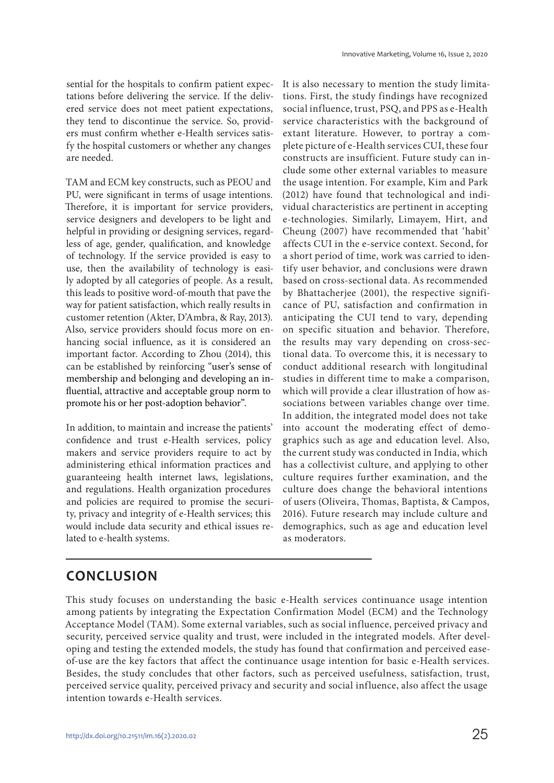sential for the hospitals to confirm patient expectations before delivering the service. If the delivered service does not meet patient expectations, they tend to discontinue the service. So, providers must confirm whether e-Health services satisfy the hospital customers or whether any changes are needed.

TAM and ECM key constructs, such as PEOU and PU, were significant in terms of usage intentions. Therefore, it is important for service providers, service designers and developers to be light and helpful in providing or designing services, regardless of age, gender, qualification, and knowledge of technology. If the service provided is easy to use, then the availability of technology is easily adopted by all categories of people. As a result, this leads to positive word-of-mouth that pave the way for patient satisfaction, which really results in customer retention (Akter, D'Ambra, & Ray, 2013). Also, service providers should focus more on enhancing social influence, as it is considered an important factor. According to Zhou (2014), this can be established by reinforcing "user's sense of membership and belonging and developing an influential, attractive and acceptable group norm to promote his or her post-adoption behavior".

In addition, to maintain and increase the patients' confidence and trust e-Health services, policy makers and service providers require to act by administering ethical information practices and guaranteeing health internet laws, legislations, and regulations. Health organization procedures and policies are required to promise the security, privacy and integrity of e-Health services; this would include data security and ethical issues related to e-health systems.

It is also necessary to mention the study limitations. First, the study findings have recognized social influence, trust, PSQ, and PPS as e-Health service characteristics with the background of extant literature. However, to portray a complete picture of e-Health services CUI, these four constructs are insufficient. Future study can include some other external variables to measure the usage intention. For example, Kim and Park (2012) have found that technological and individual characteristics are pertinent in accepting e-technologies. Similarly, Limayem, Hirt, and Cheung (2007) have recommended that 'habit' affects CUI in the e-service context. Second, for a short period of time, work was carried to identify user behavior, and conclusions were drawn based on cross-sectional data. As recommended by Bhattacherjee (2001), the respective significance of PU, satisfaction and confirmation in anticipating the CUI tend to vary, depending on specific situation and behavior. Therefore, the results may vary depending on cross-sectional data. To overcome this, it is necessary to conduct additional research with longitudinal studies in different time to make a comparison, which will provide a clear illustration of how associations between variables change over time. In addition, the integrated model does not take into account the moderating effect of demographics such as age and education level. Also, the current study was conducted in India, which has a collectivist culture, and applying to other culture requires further examination, and the culture does change the behavioral intentions of users (Oliveira, Thomas, Baptista, & Campos, 2016). Future research may include culture and demographics, such as age and education level as moderators.

### **CONCLUSION**

This study focuses on understanding the basic e-Health services continuance usage intention among patients by integrating the Expectation Confirmation Model (ECM) and the Technology Acceptance Model (TAM). Some external variables, such as social influence, perceived privacy and security, perceived service quality and trust, were included in the integrated models. After developing and testing the extended models, the study has found that confirmation and perceived easeof-use are the key factors that affect the continuance usage intention for basic e-Health services. Besides, the study concludes that other factors, such as perceived usefulness, satisfaction, trust, perceived service quality, perceived privacy and security and social influence, also affect the usage intention towards e-Health services.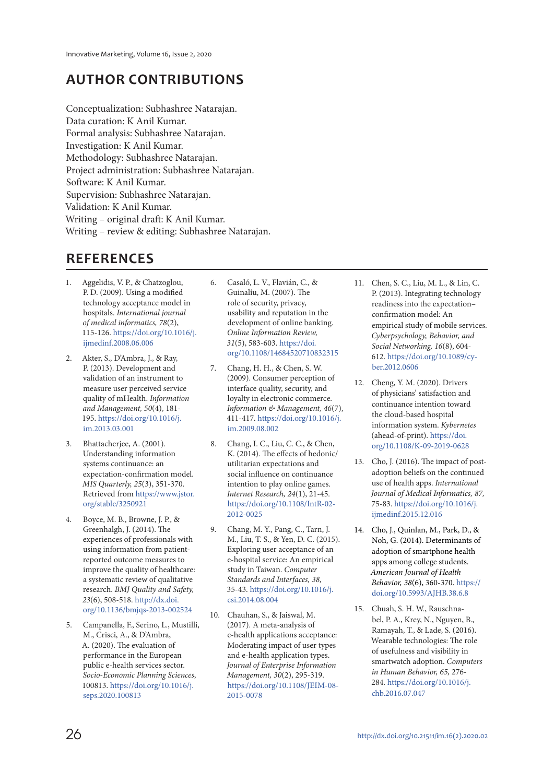### **AUTHOR CONTRIBUTIONS**

Conceptualization: Subhashree Natarajan. Data curation: K Anil Kumar. Formal analysis: Subhashree Natarajan. Investigation: K Anil Kumar. Methodology: Subhashree Natarajan. Project administration: Subhashree Natarajan. Software: K Anil Kumar. Supervision: Subhashree Natarajan. Validation: K Anil Kumar. Writing – original draft: K Anil Kumar. Writing – review & editing: Subhashree Natarajan.

### **REFERENCES**

- 1. Aggelidis, V. P., & Chatzoglou, P. D. (2009). Using a modified technology acceptance model in hospitals. International journal of medical informatics, 78(2), 115-126. https://doi.org/10.1016/j. ijmedinf.2008.06.006
- 2. Akter, S., D'Ambra, J., & Ray, P. (2013). Development and validation of an instrument to measure user perceived service quality of mHealth. Information and Management, 50(4), 181- 195. https://doi.org/10.1016/j. im.2013.03.001
- Bhattacheriee, A. (2001). Understanding information systems continuance: an expectation-confirmation model. MIS Quarterly, 25(3), 351-370. Retrieved from https://www.jstor. org/stable/3250921
- 4. Boyce, M. B., Browne, J. P., & Greenhalgh, J. (2014). The experiences of professionals with using information from patientreported outcome measures to improve the quality of healthcare: a systematic review of qualitative research. BMJ Quality and Safety, 23(6), 508-518. http://dx.doi. org/10.1136/bmjqs-2013-002524
- 5. Campanella, F., Serino, L., Mustilli, M., Crisci, A., & D'Ambra, A. (2020). The evaluation of performance in the European public e-health services sector. Socio-Economic Planning Sciences, 100813. https://doi.org/10.1016/j. seps.2020.100813
- 6. Casaló, L. V., Flavián, C., & Guinalíu, M. (2007). The role of security, privacy, usability and reputation in the development of online banking. Online Information Review, 31(5), 583-603. https://doi. org/10.1108/14684520710832315
- 7. Chang, H. H., & Chen, S. W. (2009). Consumer perception of interface quality, security, and loyalty in electronic commerce. Information & Management, 46(7), 411-417. https://doi.org/10.1016/j. im.2009.08.002
- 8. Chang, I. C., Liu, C. C., & Chen, K. (2014). The effects of hedonic/ utilitarian expectations and social influence on continuance intention to play online games. Internet Research, 24(1), 21-45. https://doi.org/10.1108/IntR-02- 2012-0025
- 9. Chang, M. Y., Pang, C., Tarn, J. M., Liu, T. S., & Yen, D. C. (2015). Exploring user acceptance of an e-hospital service: An empirical study in Taiwan. Computer Standards and Interfaces, 38, 35-43. https://doi.org/10.1016/j. csi.2014.08.004
- 10. Chauhan, S., & Jaiswal, M. (2017). A meta-analysis of e-health applications acceptance: Moderating impact of user types and e-health application types. Journal of Enterprise Information Management, 30(2), 295-319. https://doi.org/10.1108/JEIM-08- 2015-0078
- 11. Chen, S. C., Liu, M. L., & Lin, C. P. (2013). Integrating technology readiness into the expectation– confirmation model: An empirical study of mobile services. Cyberpsychology, Behavior, and Social Networking, 16(8), 604- 612. https://doi.org/10.1089/cyber.2012.0606
- 12. Cheng, Y. M. (2020). Drivers of physicians' satisfaction and continuance intention toward the cloud-based hospital information system. Kybernetes (ahead-of-print). https://doi. org/10.1108/K-09-2019-0628
- 13. Cho, J. (2016). The impact of postadoption beliefs on the continued use of health apps. International Journal of Medical Informatics, 87, 75-83. https://doi.org/10.1016/j. ijmedinf.2015.12.016
- 14. Cho, J., Quinlan, M., Park, D., & Noh, G. (2014). Determinants of adoption of smartphone health apps among college students. American Journal of Health Behavior, 38(6), 360-370. https:// doi.org/10.5993/AJHB.38.6.8
- 15. Chuah, S. H. W., Rauschnabel, P. A., Krey, N., Nguyen, B., Ramayah, T., & Lade, S. (2016). Wearable technologies: The role of usefulness and visibility in smartwatch adoption. Computers in Human Behavior, 65, 276- 284. https://doi.org/10.1016/j. chb.2016.07.047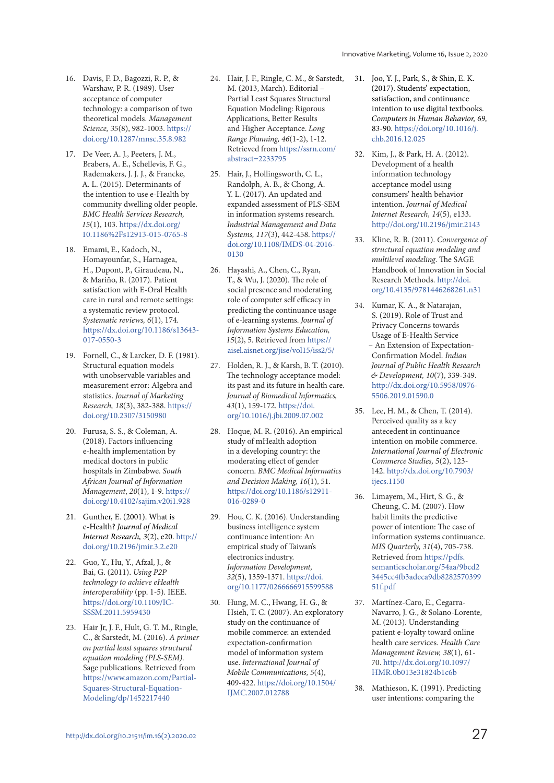- 16. Davis, F. D., Bagozzi, R. P., & Warshaw, P. R. (1989). User acceptance of computer technology: a comparison of two theoretical models. Management Science, 35(8), 982-1003. https:// doi.org/10.1287/mnsc.35.8.982
- 17. De Veer, A. J., Peeters, J. M., Brabers, A. E., Schellevis, F. G., Rademakers, J. J. J., & Francke, A. L. (2015). Determinants of the intention to use e-Health by community dwelling older people. BMC Health Services Research, 15(1), 103. https://dx.doi.org/ 10.1186%2Fs12913-015-0765-8
- 18. Emami, E., Kadoch, N., Homayounfar, S., Harnagea, H., Dupont, P., Giraudeau, N., & Mariño, R. (2017). Patient satisfaction with E-Oral Health care in rural and remote settings: a systematic review protocol. Systematic reviews, 6(1), 174. https://dx.doi.org/10.1186/s13643- 017-0550-3
- 19. Fornell, C., & Larcker, D. F. (1981). Structural equation models with unobservable variables and measurement error: Algebra and statistics. Journal of Marketing Research, 18(3), 382-388. https:// doi.org/10.2307/3150980
- 20. Furusa, S. S., & Coleman, A. (2018). Factors influencing e-health implementation by medical doctors in public hospitals in Zimbabwe. South African Journal of Information Management, 20(1), 1-9. https:// doi.org/10.4102/sajim.v20i1.928
- 21. Gunther, E. (2001). What is e-Health? Journal of Medical Internet Research, 3(2), e20. http:// doi.org/10.2196/jmir.3.2.e20
- 22. Guo, Y., Hu, Y., Afzal, J., & Bai, G. (2011). Using P2P technology to achieve eHealth interoperability (pp. 1-5). IEEE. https://doi.org/10.1109/IC-SSSM.2011.5959430
- 23. Hair Jr, J. F., Hult, G. T. M., Ringle, C., & Sarstedt, M. (2016). A primer on partial least squares structural equation modeling (PLS-SEM). Sage publications. Retrieved from https://www.amazon.com/Partial-Squares-Structural-Equation-Modeling/dp/1452217440
- 24. Hair, J. F., Ringle, C. M., & Sarstedt, M. (2013, March). Editorial – Partial Least Squares Structural Equation Modeling: Rigorous Applications, Better Results and Higher Acceptance. Long Range Planning, 46(1-2), 1-12. Retrieved from https://ssrn.com/ abstract=2233795
- 25. Hair, J., Hollingsworth, C. L., Randolph, A. B., & Chong, A. Y. L. (2017). An updated and expanded assessment of PLS-SEM in information systems research. Industrial Management and Data Systems, 117(3), 442-458. https:// doi.org/10.1108/IMDS-04-2016- 0130
- 26. Hayashi, A., Chen, C., Ryan, T., & Wu, J. (2020). The role of social presence and moderating role of computer self efficacy in predicting the continuance usage of e-learning systems. Journal of Information Systems Education, 15(2), 5. Retrieved from https:// aisel.aisnet.org/jise/vol15/iss2/5/
- 27. Holden, R. J., & Karsh, B. T. (2010). The technology acceptance model: its past and its future in health care. Journal of Biomedical Informatics, 43(1), 159-172. https://doi. org/10.1016/j.jbi.2009.07.002
- 28. Hoque, M. R. (2016). An empirical study of mHealth adoption in a developing country: the moderating effect of gender concern. BMC Medical Informatics and Decision Making, 16(1), 51. https://doi.org/10.1186/s12911- 016-0289-0
- 29. Hou, C. K. (2016). Understanding business intelligence system continuance intention: An empirical study of Taiwan's electronics industry. Information Development, 32(5), 1359-1371. https://doi. org/10.1177/0266666915599588
- 30. Hung, M. C., Hwang, H. G., & Hsieh, T. C. (2007). An exploratory study on the continuance of mobile commerce: an extended expectation-confirmation model of information system use. International Journal of Mobile Communications, 5(4), 409-422. https://doi.org/10.1504/ IJMC.2007.012788
- 31. Joo, Y. J., Park, S., & Shin, E. K. (2017). Students' expectation, satisfaction, and continuance intention to use digital textbooks. Computers in Human Behavior, 69, 83-90. https://doi.org/10.1016/j. chb.2016.12.025
- 32. Kim, J., & Park, H. A. (2012). Development of a health information technology acceptance model using consumers' health behavior intention. Journal of Medical Internet Research, 14(5), e133. http://doi.org/10.2196/jmir.2143
- 33. Kline, R. B. (2011). Convergence of structural equation modeling and multilevel modeling. The SAGE Handbook of Innovation in Social Research Methods. http://doi. org/10.4135/9781446268261.n31
- 34. Kumar, K. A., & Natarajan, S. (2019). Role of Trust and Privacy Concerns towards Usage of E-Health Service – An Extension of Expectation-Confirmation Model. Indian Journal of Public Health Research & Development, 10(7), 339-349. http://dx.doi.org/10.5958/0976- 5506.2019.01590.0
- 35. Lee, H. M., & Chen, T. (2014). Perceived quality as a key antecedent in continuance intention on mobile commerce. International Journal of Electronic Commerce Studies, 5(2), 123- 142. http://dx.doi.org/10.7903/ ijecs.1150
- 36. Limayem, M., Hirt, S. G., & Cheung, C. M. (2007). How habit limits the predictive power of intention: The case of information systems continuance. MIS Quarterly, 31(4), 705-738. Retrieved from https://pdfs. semanticscholar.org/54aa/9bcd2 3445cc4fb3adeca9db8282570399 51f.pdf
- 37. Martínez-Caro, E., Cegarra-Navarro, J. G., & Solano-Lorente, M. (2013). Understanding patient e-loyalty toward online health care services. Health Care Management Review, 38(1), 61- 70. http://dx.doi.org/10.1097/ HMR.0b013e31824b1c6b
- 38. Mathieson, K. (1991). Predicting user intentions: comparing the